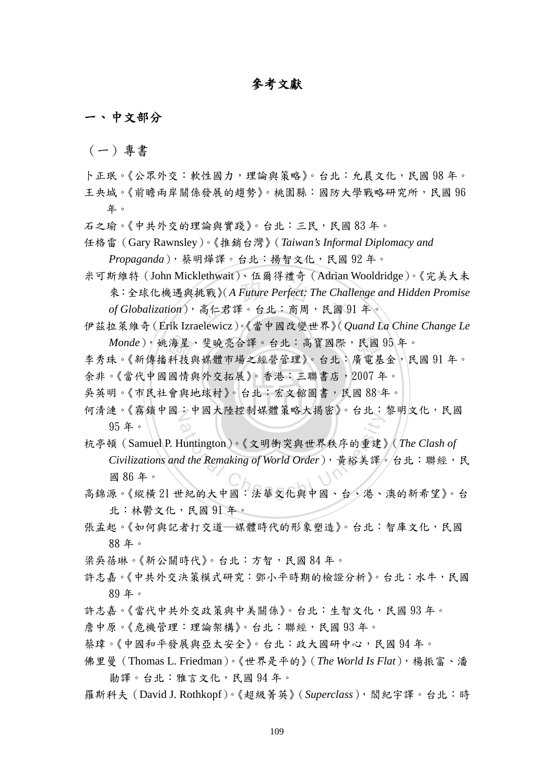## 參考文獻

一、 中文部分

(一)專書

- 卜正珉。《公眾外交:軟性國力,理論與策略》。台北:允晨文化,民國 98年。 王央城。《前瞻兩岸關係發展的趨勢》。桃園縣:國防大學戰略研究所,民國 96 年。
- 石之瑜。《中共外交的理論與實踐》。台北:三民,民國 83 年。
- 任格雷(Gary Rawnsley)。《推銷台灣》(*Taiwan's Informal Diplomacy and Propaganda*),蔡明燁譯。台北:揚智文化,民國 92 年。
- 挑戰》(A Future Perfect: The Chall<br>高仁君譯。台北:商周, 民國 9 米可斯維特(John Micklethwait)、伍爾得禮奇(Adrian Wooldridge)。《完美大未 來:全球化機遇與挑戰》(*A Future Perfect: The Challenge and Hidden Promise of Globalization*),高仁君譯。台北:商周,民國 91 年。
- *Monde*),姚海星、斐曉亮合譯。台北:高寶國際,民國 95 年。<br><sub>法。</sub>/新傳採科技與城體市場之經營經》。ムル·库靈其全,民區 伊茲拉萊維奇(Erik Izraelewicz)。《當中國改變世界》(*Quand La Chine Change Le*
- 海科國會與 李秀珠。《新傳播科技與媒體市場之經營管理》。台北:廣電基金,民國 91 年。 余非。《當代中國國情與外交拓展》。香港:三聯書店, 2007年。
- ‧‧ 吳英明。《市民社會與地球村》。台北:宏文館圖書,民國 88 年。
- 何清漣。《霧鎖中國:中國大陸控制媒體策略大揭密》。台北:黎明文化,民國 95 年。
- <sup>a</sup>t<sup>i</sup>ona<sup>l</sup> <sup>C</sup>hengch<sup>i</sup> <sup>U</sup>nivers<sup>i</sup>t<sup>y</sup> 杭亭頓(Samuel P. Huntington)。《文明衝突與世界秩序的重建》(*The Clash of Civilizations and the Remaking of World Order*),黃裕美譯。台北:聯經,民 國 86 年。
- 高錦源。《縱橫 21 世紀的大中國:法華文化與中國、台、港、澳的新希望》。台 北:林鬱文化,民國 91 年。
- 張孟起。《如何與記者打交道─媒體時代的形象塑造》。台北:智庫文化,民國 88 年。
- 梁吳蓓琳。《新公關時代》。台北:方智,民國 84年。
- 許志嘉。《中共外交決策模式研究:鄧小平時期的檢證分析》。台北:水牛,民國 89 年。
- 許志嘉。《當代中共外交政策與中美關係》。台北:生智文化,民國 93年。
- 詹中原。《危機管理:理論架構》。台北:聯經,民國 93 年。
- 蔡瑋。《中國和平發展與亞太安全》。台北:政大國研中心,民國 94年。
- 佛里曼(Thomas L. Friedman)。《世界是平的》(*The World Is Flat*),楊振富、潘 勛譯。台北:雅言文化,民國 94 年。
- 羅斯科夫(David J. Rothkopf)。《超級菁英》(*Superclass*),閻紀宇譯。台北:時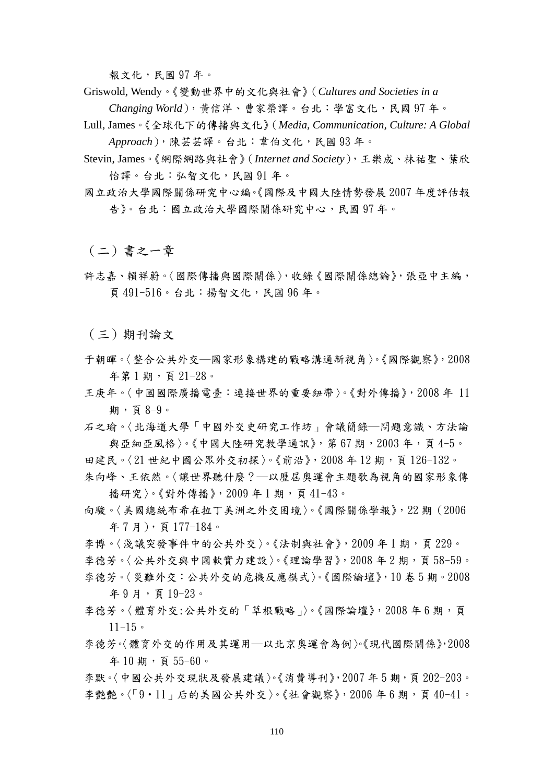報文化,民國 97 年。

Griswold, Wendy。《變動世界中的文化與社會》(*Cultures and Societies in a* 

*Changing World*),黃信洋、曹家榮譯。台北:學富文化,民國 97 年。

- Lull, James。《全球化下的傳播與文化》(*Media, Communication, Culture: A Global Approach*),陳芸芸譯。台北:韋伯文化,民國 93 年。
- Stevin, James。《網際網路與社會》(*Internet and Society*),王樂成、林祐聖、葉欣 怡譯。台北:弘智文化,民國 91 年。
- 國立政治大學國際關係研究中心編。《國際及中國大陸情勢發展 2007 年度評估報 告》。台北:國立政治大學國際關係研究中心,民國 97 年。

(二)書之一章

許志嘉、賴祥蔚。〈國際傳播與國際關係〉,收錄《國際關係總論》,張亞中主編, 頁 491-516。台北:揚智文化,民國 96 年。

(三)期刊論文

- 于朝暉。〈整合公共外交─國家形象構建的戰略溝通新視角〉。《國際觀察》,2008 年第 1 期,頁 21-28。
- 王庚年。〈中國國際廣播電臺:連接世界的重要紐帶〉。《[對外傳播》](http://cnki50.csis.com.tw.ezproxy.lib.nccu.edu.tw:8090/KNS50/Navi/Bridge.aspx?LinkType=BaseLink&DBCode=cjfd&TableName=cjfdbaseinfo&Field=BaseID&Value=DWDC&NaviLink=%e5%af%b9%e5%a4%96%e4%bc%a0%e6%92%ad)[,2008 年 11](http://cnki50.csis.com.tw.ezproxy.lib.nccu.edu.tw:8090/KNS50/Navi/Bridge.aspx?LinkType=IssueLink&DBCode=cjfd&TableName=cjfdyearinfo&Field=BaseID*year*issue&Value=DWDC*2008*11&NaviLink=%e5%af%b9%e5%a4%96%e4%bc%a0%e6%92%ad) [期,](http://cnki50.csis.com.tw.ezproxy.lib.nccu.edu.tw:8090/KNS50/Navi/Bridge.aspx?LinkType=IssueLink&DBCode=cjfd&TableName=cjfdyearinfo&Field=BaseID*year*issue&Value=DWDC*2008*11&NaviLink=%e5%af%b9%e5%a4%96%e4%bc%a0%e6%92%ad)頁 8-9。
- 石之瑜。〈北海道大學「中國外交史研究工作坊」會議簡錄─問題意識、方法論 與亞細亞風格〉。《中國大陸研究教學通訊》,第67期,2003年,頁4-5。
- 田建民。〈21世紀中國公眾外交初探〉。《前沿》, 2008年12期, 頁126-132。 朱向峰、王依然。〈讓世界聽什麼?─以歷屆奧運會主題歌為視角的國家形象傳 播研究〉。《[對外傳播》](http://cnki50.csis.com.tw.ezproxy.lib.nccu.edu.tw:8090/KNS50/Navi/Bridge.aspx?LinkType=BaseLink&DBCode=cjfd&TableName=cjfdbaseinfo&Field=BaseID&Value=DWDC&NaviLink=%e5%af%b9%e5%a4%96%e4%bc%a0%e6%92%ad),[2009 年 1 期,](http://cnki50.csis.com.tw.ezproxy.lib.nccu.edu.tw:8090/KNS50/Navi/Bridge.aspx?LinkType=IssueLink&DBCode=cjfd&TableName=cjfdyearinfo&Field=BaseID*year*issue&Value=DWDC*2009*01&NaviLink=%e5%af%b9%e5%a4%96%e4%bc%a0%e6%92%ad)頁 41-43。
- 向駿。〈美國總統布希在拉丁美洲之外交困境〉。《國際關係學報》,[22 期\(](http://www.ceps.com.tw.ezproxy.lib.nccu.edu.tw:8090/ec/ecjnlissuelist.aspx?jnlcattype=0&jnlptype=0&jnltype=0&Jnliid=2994&newIssueiid=53679%20)2006 年 7 月),頁 177-184。

李博。〈淺議突發事件中的公共外交〉。《[法制與社會》](http://cnki50.csis.com.tw.ezproxy.lib.nccu.edu.tw:8090/KNS50/Navi/Bridge.aspx?LinkType=BaseLink&DBCode=cjfd&TableName=cjfdbaseinfo&Field=BaseID&Value=FZSL&NaviLink=%e6%b3%95%e5%88%b6%e4%b8%8e%e7%a4%be%e4%bc%9a),2009年1期,頁 229。 李德芳。〈公共外交與中國軟實力建設〉。《理論學習》, 2008年2期, 頁58-59。 李德芳。〈災難外交:公共外交的危機反應模式〉。《國際論壇》,10 卷 5 期。2008 年 9 月,頁 19-23。

- 李德芳。〈體育外交:公共外交的「草根戰略」〉。《[國際論壇](http://cnki50.csis.com.tw.ezproxy.lib.nccu.edu.tw:8090/KNS50/Navi/Bridge.aspx?LinkType=BaseLink&DBCode=cjfd&TableName=cjfdbaseinfo&Field=BaseID&Value=GJLT&NaviLink=%e5%9b%bd%e9%99%85%e8%ae%ba%e5%9d%9b)》, 2008年6期, 頁  $11 - 15$
- 李德芳。〈體育外交的作用及其運用─以北京奧運會為例〉。《現代國際關係》,2008 年 10 期,頁 55-60。

李默。〈中國公共外交現狀及發展建議〉。《消費導刊》,2007年5期,頁 202-203。 李艷艷。〈「9·11」后的美國公共外交〉。[《社會觀察》](http://cnki50.csis.com.tw.ezproxy.lib.nccu.edu.tw:8090/KNS50/Navi/Bridge.aspx?LinkType=BaseLink&DBCode=cjfd&TableName=cjfdbaseinfo&Field=BaseID&Value=SHGC&NaviLink=%e7%a4%be%e4%bc%9a%e8%a7%82%e5%af%9f), 2006年6期, 頁40-41。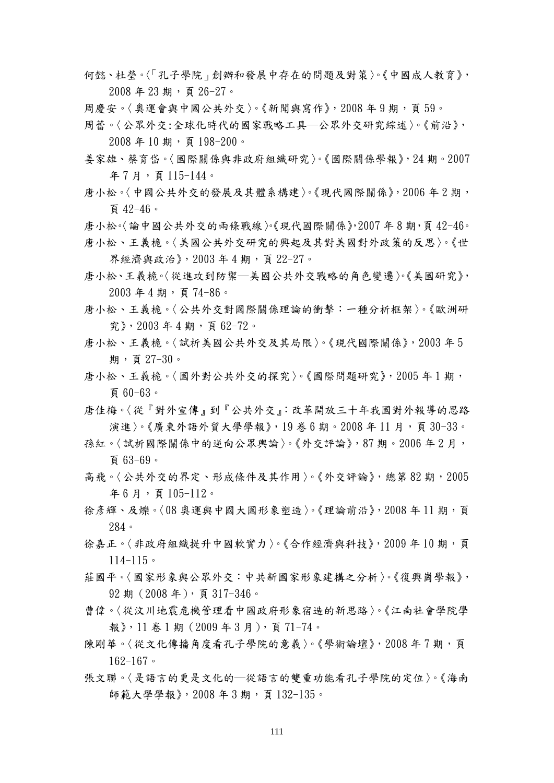- 何懿、杜瑩。〈「孔子學院」創辦和發展中存在的問題及對策〉。《中國成人教育》, 2008 年 23 期,頁 26-27。
- 周慶安。〈奧運會與中國公共外交〉。《新聞與寫作》,2008年9期,頁59。
- 周蕾。〈公眾外交:全球化時代的國家戰略工具─公眾外交研究綜述〉。《前沿》,  $2008$  年 10 期, 頁 198-200。
- 姜家雄、蔡育岱。〈國際關係與非政府組織研究〉。《國際關係學報》,24 期。2007 年 7 月,頁 115-144。
- 唐小松。〈中國公共外交的發展及其體系構建〉。《現代國際關係》,2006 年 2 期, 頁 42-46。
- 唐小松。〈論中國公共外交的兩條戰線〉。《現代國際關係》,2007 年 8 期,頁 42-46。
- 唐小松、王義桅。〈美國公共外交研究的興起及其對美國對外政策的反思〉。《世 界經濟與政治》,2003 年 4 期,頁 22-27。
- 唐小松、王義桅。〈從進攻到防禦─美國公共外交戰略的角色變遷〉。《美國研究》, 2003 年 4 期,頁 74-86。
- 唐小松、王義桅。〈公共外交對國際關係理論的衝擊:一種分析框架〉。《歐洲研 究》,2003 年 4 期,頁 62-72。
- 唐小松、王義桅。〈試析美國公共外交及其局限〉。《現代國際關係》,2003 年 5 期,頁 27-30。
- 唐小松、王義桅。〈國外對公共外交的探究〉。《國際問題研究》,2005年1期, 頁 60-63。
- 唐佳梅。〈從『對外宣傳』到『公共外交』:改革開放三十年我國對外報導的思路 演進〉。《廣東外語外貿大學學報》,19 卷 6 期。2008 年11 月,頁 30-33。
- 孫紅。〈試析國際關係中的逆向公眾輿論〉。《外交評論》,87 期。2006 年 2 月, 頁 63-69。
- 高飛。〈公共外交的界定、形成條件及其作用〉。《外交評論》,總第 82 期,2005 年 6 月,頁 105-112。
- 徐彥輝、及爍。〈08 奧運與中國大國形象塑造〉。《理論前沿》, 2008年11期, 頁 284。
- 徐嘉正。〈非政府組織提升中國軟實力〉。《合作經濟與科技》,2009年10期,頁 114-115。
- 莊國平。〈國家形象與公眾外交:中共新國家形象建構之分析〉。《復興崗學報》, 92 期(2008 年),頁 317-346。
- 曹偉。〈從汶川地震危機管理看中國政府形象宿造的新思路〉。《江南社會學院學 報》,11 卷 1 期(2009 年 3 月),頁 71-74。
- 陳剛華。〈從文化傳播角度看孔子學院的意義〉。《學術論壇》, 2008年7期,頁 162-167。
- 張文聯。〈是語言的更是文化的─從語言的雙重功能看孔子學院的定位〉。《海南 師範大學學報》, 2008年3期, 頁132-135。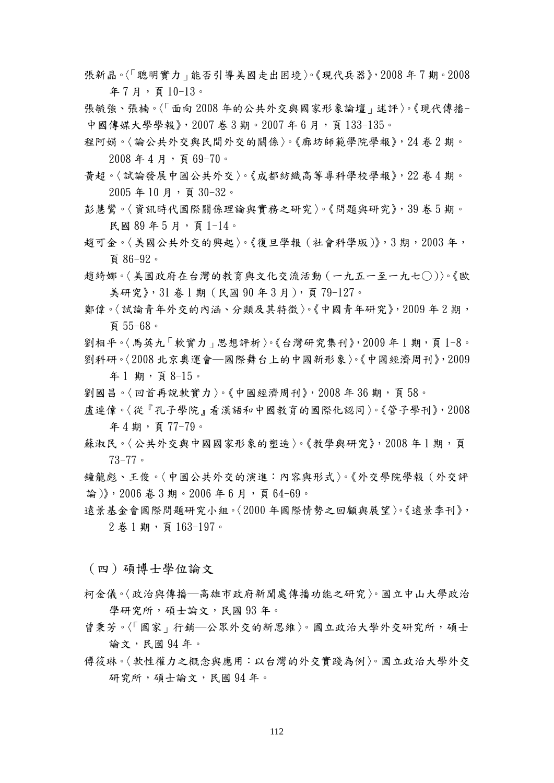- 張新晶。〈「聰明實力」能否引導美國走出困境〉。《現代兵器》,2008 年 7 期。2008 年 7 月,頁 10-13。
- [張毓強、](http://www.ceps.com.tw.ezproxy.lib.nccu.edu.tw:8090/ec/ecjnlSearchResult.aspx?st=a&sc=a&sk=%e5%bc%a0%e6%af%93%e5%bc%ba&so=t&sl=all&sat=all&sdo=all&pg_size=20&sys=&sms=&sye=&sme=&st1=&st2=&st3=&sf1=&sf2=&sf3=&sc1=&sc2=&smode=&dtype=1&sysid=1&sysl=CH)[張楠。](http://www.ceps.com.tw.ezproxy.lib.nccu.edu.tw:8090/ec/ecjnlSearchResult.aspx?st=a&sc=a&sk=%e5%bc%a0%e6%a5%a0&so=t&sl=all&sat=all&sdo=all&pg_size=20&sys=&sms=&sye=&sme=&st1=&st2=&st3=&sf1=&sf2=&sf3=&sc1=&sc2=&smode=&dtype=1&sysid=1&sysl=CH)〈「面向 2008 年的公共外交與國家形象論壇」述評〉。[《現代傳播-](http://www.ceps.com.tw.ezproxy.lib.nccu.edu.tw:8090/ec/ecJnlIntro.aspx?jnlcattype=0&jnlptype=0&jnltype=0&Jnliid=2994&newIssueiid=53679%20)中[國傳媒大學學報](http://www.ceps.com.tw.ezproxy.lib.nccu.edu.tw:8090/ec/ecJnlIntro.aspx?jnlcattype=0&jnlptype=0&jnltype=0&Jnliid=2994&newIssueiid=53679%20)》, 2007 卷 3 期。2007 年 6 月, 頁 133-135。
- 程阿娟。〈論公共外交與民間外交的關係〉。《廊坊師範學院學報》,24 卷 2 期。 2008 年 4 月,頁 69-70。
- 黃超。〈試論發展中國公共外交〉。《[成都紡織高等專科學校學報](http://www.ceps.com.tw.ezproxy.lib.nccu.edu.tw:8090/ec/ecJnlIntro.aspx?jnlcattype=0&jnlptype=0&jnltype=0&Jnliid=2481&newIssueiid=13243%20)》,[22 卷 4 期。](http://www.ceps.com.tw.ezproxy.lib.nccu.edu.tw:8090/ec/ecjnlissuelist.aspx?jnlcattype=0&jnlptype=0&jnltype=0&Jnliid=2481&newIssueiid=13243%20)  $2005$  年 10 月, 頁 30-32。
- 彭慧鸞。〈資訊時代國際關係理論與實務之研究〉。《問題與研究》,39 卷 5 期。 民國 89 年 5 月,頁 1-14。
- 趙可金。〈美國公共外交的興起〉。《復旦學報(社會科學版)》,3 期,2003 年, 頁 86-92。
- 趙綺娜。〈美國政府在台灣的教育與文化交流活動(一九五一至一九七○)〉。《歐 美研究》,31 卷 1 期(民國 90 年 3 月),頁 79-127。
- 鄭偉。〈試論青年外交的內涵、分類及其特徵〉。《[中國青年研究](http://cnki50.csis.com.tw.ezproxy.lib.nccu.edu.tw:8090/KNS50/Navi/Bridge.aspx?LinkType=BaseLink&DBCode=cjfd&TableName=cjfdbaseinfo&Field=BaseID&Value=ZGQL&NaviLink=%e4%b8%ad%e5%9b%bd%e9%9d%92%e5%b9%b4%e7%a0%94%e7%a9%b6)》,2009 年 2 期, 頁 55-68。
- 劉相平。〈馬英九「軟實力」思想評析〉。《台灣研究集刊》,2009年1期,頁1-8。 劉科研。〈2008 北京奧運會─國際舞台上的中國新形象〉。《中國經濟周刊》,2009 年 1 期,頁 8-15。
- 劉國昌。〈回首再說軟實力〉。《中國經濟周刊》,2008年36期,頁58。
- 盧連偉。〈從『孔子學院』看漢語和中國教育的國際化認同〉。《管子學刊》,2008 年 4 期,頁 77-79。
- 蘇淑民。〈公共外交與中國國家形象的塑造〉。《教學與研究》,2008年1期,可 73-77。
- 論)》[,](http://www.ceps.com.tw.ezproxy.lib.nccu.edu.tw:8090/ec/ecJnlIntro.aspx?jnlcattype=0&jnlptype=0&jnltype=0&Jnliid=1080&newIssueiid=30961%20) 2006 卷 3 期。2006 年 6 月 , 頁 64-69。 [鐘龍彪](http://www.ceps.com.tw.ezproxy.lib.nccu.edu.tw:8090/ec/ecjnlSearchResult.aspx?st=a&sc=a&sk=%e9%92%9f%e9%be%99%e5%bd%aa&so=t&sl=all&sat=all&sdo=all&pg_size=20&sys=&sms=&sye=&sme=&st1=&st2=&st3=&sf1=&sf2=&sf3=&sc1=&sc2=&smode=&dtype=1&sysid=1&sysl=CH)[、王俊](http://www.ceps.com.tw.ezproxy.lib.nccu.edu.tw:8090/ec/ecjnlSearchResult.aspx?st=a&sc=a&sk=%e7%8e%8b%e4%bf%8a&so=t&sl=all&sat=all&sdo=all&pg_size=20&sys=&sms=&sye=&sme=&st1=&st2=&st3=&sf1=&sf2=&sf3=&sc1=&sc2=&smode=&dtype=1&sysid=1&sysl=CH)。〈中國公共外交的演進:內容與形式〉。[《外交學院學報\(外交評](http://www.ceps.com.tw.ezproxy.lib.nccu.edu.tw:8090/ec/ecJnlIntro.aspx?jnlcattype=0&jnlptype=0&jnltype=0&Jnliid=1080&newIssueiid=30961%20)
- 遠景基金會國際問題研究小組。〈2000年國際情勢之回顧與展望〉。《遠景季刊》,  $2$  卷 1 期, 頁 163-197。
- (四)碩博士學位論文
- 柯金儀。〈政治與傳播─高雄市政府新聞處傳播功能之研究〉。國立中山大學政治 學研究所,碩士論文,民國 93年。
- 曾秉芳。〈「國家」行銷─公眾外交的新思維〉。國立政治大學外交研究所,碩士 論文,民國 94 年。
- 傳筱琳。〈軟性權力之概念與應用:以台灣的外交實踐為例〉。國立政治大學外交 研究所,碩士論文,民國 94年。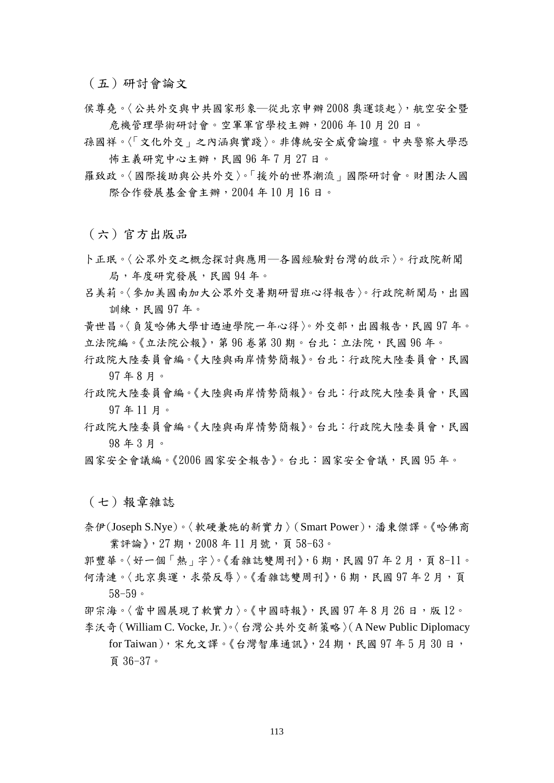(五)研討會論文

- 侯尊堯。〈公共外交與中共國家形象─從北京申辦 2008 奧運談起〉, 航空安全暨 危機管理學術研討會。空軍軍官學校主辦,2006 年 10 月 20 日。
- 孫國祥。〈「文化外交」之內涵與實踐〉。非傳統安全威脅論壇。中央警察大學恐 怖主義研究中心主辦,民國 96年7月27日。
- 羅致政。〈國際援助與公共外交〉。「援外的世界潮流」國際研討會。財團法人國 際合作發展基金會主辦,2004 年 10 月 16 日。

(六)官方出版品

卜正珉。〈公眾外交之概念探討與應用─各國經驗對台灣的啟示〉。行政院新聞 局,年度研究發展,民國 94年。

- 呂美莉。〈參加美國南加大公眾外交暑期研習班心得報告〉。行政院新聞局,出國 訓練,民國 97 年。
- 黃世昌。〈負笈哈佛大學甘迺迪學院一年心得〉。外交部,出國報告,民國 97 年。 立法院編。《立法院公報》,第 96 卷第 30 期。台北:立法院,民國 96 年。
- 行政院大陸委員會編。《大陸與兩岸情勢簡報》。台北:行政院大陸委員會,民國 97 年 8 月。
- 行政院大陸委員會編。《大陸與兩岸情勢簡報》。台北:行政院大陸委員會,民國 97 年 11 月。
- 行政院大陸委員會編。《大陸與兩岸情勢簡報》。台北:行政院大陸委員會,民國 98 年 3 月。
- 國家安全會議編。《2006 國家安全報告》。台北:國家安全會議,民國 95 年。

(七)報章雜誌

奈伊(Joseph S.Nye)。〈軟硬兼施的新實力〉(Smart Power),潘東傑譯。《哈佛商 業評論》, 27 期, 2008年11 月號, 頁58-63。

郭豐華。〈好一個「熱」字〉。《看雜誌雙周刊》,6期,民國 97 年 2 月,頁 8-11。 何清漣。〈北京奧運,求榮反辱〉。《看雜誌雙周刊》,6期,民國 97年2月,頁 58-59。

卲宗海。〈當中國展現了軟實力〉。《中國時報》,民國 97年8月26日,版12。 李沃奇(William C. Vocke, Jr.)。〈台灣公共外交新策略〉(A New Public Diplomacy for Taiwan),宋允文譯。《台灣智庫通訊》, 24 期,民國 97 年 5 月 30 日,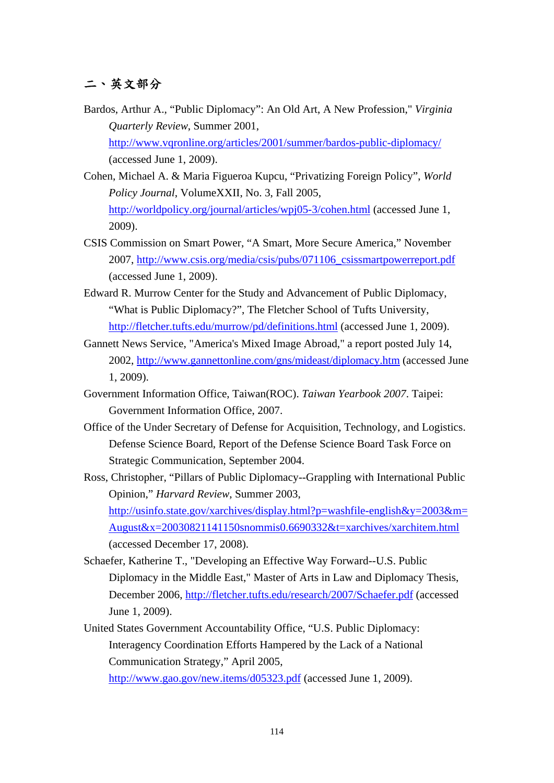## 二、英文部分

- Bardos, Arthur A., "Public Diplomacy": An Old Art, A New Profession," *Virginia Quarterly Review*, Summer 2001, <http://www.vqronline.org/articles/2001/summer/bardos-public-diplomacy/> (accessed June 1, 2009).
- Cohen, Michael A. & Maria Figueroa Kupcu, "Privatizing Foreign Policy", *World Policy Journal*, VolumeXXII, No. 3, Fall 2005, <http://worldpolicy.org/journal/articles/wpj05-3/cohen.html> (accessed June 1, 2009).
- CSIS Commission on Smart Power, "A Smart, More Secure America," November 2007, [http://www.csis.org/media/csis/pubs/071106\\_csissmartpowerreport.pdf](http://www.csis.org/media/csis/pubs/071106_csissmartpowerreport.pdf) (accessed June 1, 2009).
- Edward R. Murrow Center for the Study and Advancement of Public Diplomacy, "What is Public Diplomacy?", The Fletcher School of Tufts University, <http://fletcher.tufts.edu/murrow/pd/definitions.html> (accessed June 1, 2009).
- Gannett News Service, "America's Mixed Image Abroad," a report posted July 14, 2002,<http://www.gannettonline.com/gns/mideast/diplomacy.htm>(accessed June 1, 2009).
- Government Information Office, Taiwan(ROC). *Taiwan Yearbook 2007*. Taipei: Government Information Office, 2007.
- Office of the Under Secretary of Defense for Acquisition, Technology, and Logistics. Defense Science Board, Report of the Defense Science Board Task Force on Strategic Communication, September 2004.
- Ross, Christopher, "Pillars of Public Diplomacy--Grappling with International Public Opinion," *Harvard Review*, Summer 2003, [http://usinfo.state.gov/xarchives/display.html?p=washfile-english&y=2003&m=](http://usinfo.state.gov/xarchives/display.html?p=washfile-english&y=2003&m=August&x=20030821141150snommis0.6690332&t=xarchives/xarchitem.html) [August&x=20030821141150snommis0.6690332&t=xarchives/xarchitem.html](http://usinfo.state.gov/xarchives/display.html?p=washfile-english&y=2003&m=August&x=20030821141150snommis0.6690332&t=xarchives/xarchitem.html) (accessed December 17, 2008).
- Schaefer, Katherine T., "Developing an Effective Way Forward--U.S. Public Diplomacy in the Middle East," Master of Arts in Law and Diplomacy Thesis, December 2006,<http://fletcher.tufts.edu/research/2007/Schaefer.pdf> (accessed June 1, 2009).
- United States Government Accountability Office, "U.S. Public Diplomacy: Interagency Coordination Efforts Hampered by the Lack of a National Communication Strategy," April 2005,

<http://www.gao.gov/new.items/d05323.pdf>(accessed June 1, 2009).